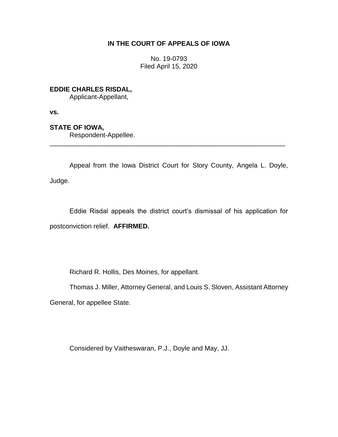## **IN THE COURT OF APPEALS OF IOWA**

No. 19-0793 Filed April 15, 2020

**EDDIE CHARLES RISDAL,**

Applicant-Appellant,

**vs.**

**STATE OF IOWA,**

Respondent-Appellee.

Appeal from the Iowa District Court for Story County, Angela L. Doyle, Judge.

\_\_\_\_\_\_\_\_\_\_\_\_\_\_\_\_\_\_\_\_\_\_\_\_\_\_\_\_\_\_\_\_\_\_\_\_\_\_\_\_\_\_\_\_\_\_\_\_\_\_\_\_\_\_\_\_\_\_\_\_\_\_\_\_

Eddie Risdal appeals the district court's dismissal of his application for postconviction relief. **AFFIRMED.**

Richard R. Hollis, Des Moines, for appellant.

Thomas J. Miller, Attorney General, and Louis S. Sloven, Assistant Attorney

General, for appellee State.

Considered by Vaitheswaran, P.J., Doyle and May, JJ.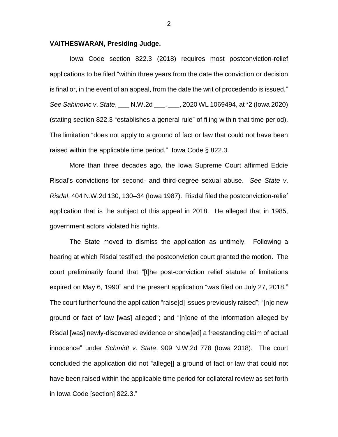## **VAITHESWARAN, Presiding Judge.**

Iowa Code section 822.3 (2018) requires most postconviction-relief applications to be filed "within three years from the date the conviction or decision is final or, in the event of an appeal, from the date the writ of procedendo is issued." *See Sahinovic v*. *State*, \_\_\_ N.W.2d \_\_\_, \_\_\_, 2020 WL 1069494, at \*2 (Iowa 2020) (stating section 822.3 "establishes a general rule" of filing within that time period). The limitation "does not apply to a ground of fact or law that could not have been raised within the applicable time period." Iowa Code § 822.3.

More than three decades ago, the Iowa Supreme Court affirmed Eddie Risdal's convictions for second- and third-degree sexual abuse. *See State v*. *Risdal*, 404 N.W.2d 130, 130–34 (Iowa 1987). Risdal filed the postconviction-relief application that is the subject of this appeal in 2018. He alleged that in 1985, government actors violated his rights.

The State moved to dismiss the application as untimely. Following a hearing at which Risdal testified, the postconviction court granted the motion. The court preliminarily found that "[t]he post-conviction relief statute of limitations expired on May 6, 1990" and the present application "was filed on July 27, 2018." The court further found the application "raise[d] issues previously raised"; "[n]o new ground or fact of law [was] alleged"; and "[n]one of the information alleged by Risdal [was] newly-discovered evidence or show[ed] a freestanding claim of actual innocence" under *Schmidt v*. *State*, 909 N.W.2d 778 (Iowa 2018). The court concluded the application did not "allege[] a ground of fact or law that could not have been raised within the applicable time period for collateral review as set forth in Iowa Code [section] 822.3."

2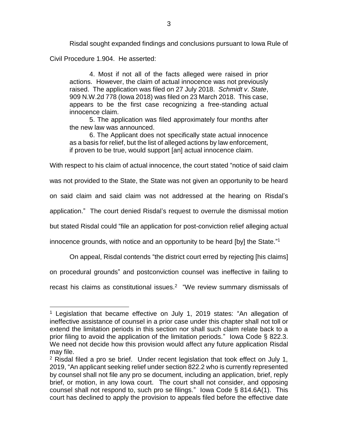Risdal sought expanded findings and conclusions pursuant to Iowa Rule of Civil Procedure 1.904. He asserted:

4. Most if not all of the facts alleged were raised in prior actions. However, the claim of actual innocence was not previously raised. The application was filed on 27 July 2018. *Schmidt v*. *State*, 909 N.W.2d 778 (Iowa 2018) was filed on 23 March 2018. This case, appears to be the first case recognizing a free-standing actual innocence claim.

5. The application was filed approximately four months after the new law was announced.

6. The Applicant does not specifically state actual innocence as a basis for relief, but the list of alleged actions by law enforcement, if proven to be true, would support [an] actual innocence claim.

With respect to his claim of actual innocence, the court stated "notice of said claim

was not provided to the State, the State was not given an opportunity to be heard

on said claim and said claim was not addressed at the hearing on Risdal's

application." The court denied Risdal's request to overrule the dismissal motion

but stated Risdal could "file an application for post-conviction relief alleging actual

innocence grounds, with notice and an opportunity to be heard [by] the State." 1

On appeal, Risdal contends "the district court erred by rejecting [his claims]

on procedural grounds" and postconviction counsel was ineffective in failing to

recast his claims as constitutional issues. $2 \degree$  "We review summary dismissals of

 $\overline{a}$ 

<sup>&</sup>lt;sup>1</sup> Legislation that became effective on July 1, 2019 states: "An allegation of ineffective assistance of counsel in a prior case under this chapter shall not toll or extend the limitation periods in this section nor shall such claim relate back to a prior filing to avoid the application of the limitation periods." Iowa Code § 822.3. We need not decide how this provision would affect any future application Risdal may file.

<sup>&</sup>lt;sup>2</sup> Risdal filed a pro se brief. Under recent legislation that took effect on July 1, 2019, "An applicant seeking relief under section 822.2 who is currently represented by counsel shall not file any pro se document, including an application, brief, reply brief, or motion, in any Iowa court. The court shall not consider, and opposing counsel shall not respond to, such pro se filings." Iowa Code § 814.6A(1). This court has declined to apply the provision to appeals filed before the effective date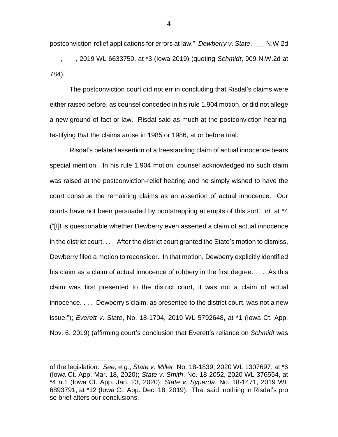postconviction-relief applications for errors at law." *Dewberry v*. *State*, \_\_\_ N.W.2d \_\_\_, \_\_\_, 2019 WL 6633750, at \*3 (Iowa 2019) (quoting *Schmidt*, 909 N.W.2d at 784).

The postconviction court did not err in concluding that Risdal's claims were either raised before, as counsel conceded in his rule 1.904 motion, or did not allege a new ground of fact or law. Risdal said as much at the postconviction hearing, testifying that the claims arose in 1985 or 1986, at or before trial.

Risdal's belated assertion of a freestanding claim of actual innocence bears special mention. In his rule 1.904 motion, counsel acknowledged no such claim was raised at the postconviction-relief hearing and he simply wished to have the court construe the remaining claims as an assertion of actual innocence. Our courts have not been persuaded by bootstrapping attempts of this sort. *Id*. at \*4 ("[I]t is questionable whether Dewberry even asserted a claim of actual innocence in the district court. . . . After the district court granted the State's motion to dismiss, Dewberry filed a motion to reconsider. In that motion, Dewberry explicitly identified his claim as a claim of actual innocence of robbery in the first degree. . . . As this claim was first presented to the district court, it was not a claim of actual innocence. . . . Dewberry's claim, as presented to the district court, was not a new issue."); *Everett v*. *State*, No. 18-1704, 2019 WL 5792648, at \*1 (Iowa Ct. App. Nov. 6, 2019) (affirming court's conclusion that Everett's reliance on *Schmidt* was

 $\overline{a}$ 

of the legislation. *See, e*.*g.*, *State v*. *Miller*, No. 18-1839, 2020 WL 1307697, at \*6 (Iowa Ct. App. Mar. 18, 2020); *State v*. *Smith*, No. 18-2052, 2020 WL 376554, at \*4 n.1 (Iowa Ct. App. Jan. 23, 2020); *State v*. *Syperda*, No. 18-1471, 2019 WL 6893791, at \*12 (Iowa Ct. App. Dec. 18, 2019). That said, nothing in Risdal's pro se brief alters our conclusions.